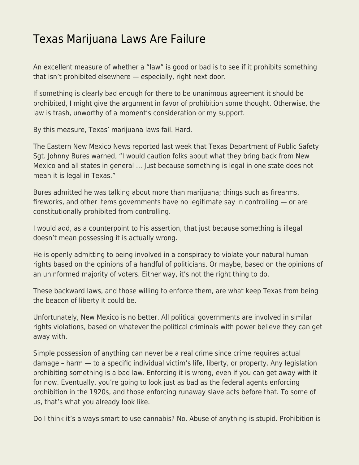## [Texas Marijuana Laws Are Failure](https://everything-voluntary.com/texas-marijuana-laws-are-failure)

An excellent measure of whether a "law" is good or bad is to see if it prohibits something that isn't prohibited elsewhere — especially, right next door.

If something is clearly bad enough for there to be unanimous agreement it should be prohibited, I might give the argument in favor of prohibition some thought. Otherwise, the law is trash, unworthy of a moment's consideration or my support.

By this measure, Texas' marijuana laws fail. Hard.

The Eastern New Mexico News reported last week that Texas Department of Public Safety Sgt. Johnny Bures warned, "I would caution folks about what they bring back from New Mexico and all states in general … Just because something is legal in one state does not mean it is legal in Texas."

Bures admitted he was talking about more than marijuana; things such as firearms, fireworks, and other items governments have no legitimate say in controlling — or are constitutionally prohibited from controlling.

I would add, as a counterpoint to his assertion, that just because something is illegal doesn't mean possessing it is actually wrong.

He is openly admitting to being involved in a conspiracy to violate your natural human rights based on the opinions of a handful of politicians. Or maybe, based on the opinions of an uninformed majority of voters. Either way, it's not the right thing to do.

These backward laws, and those willing to enforce them, are what keep Texas from being the beacon of liberty it could be.

Unfortunately, New Mexico is no better. All political governments are involved in similar rights violations, based on whatever the political criminals with power believe they can get away with.

Simple possession of anything can never be a real crime since crime requires actual damage – harm — to a specific individual victim's life, liberty, or property. Any legislation prohibiting something is a bad law. Enforcing it is wrong, even if you can get away with it for now. Eventually, you're going to look just as bad as the federal agents enforcing prohibition in the 1920s, and those enforcing runaway slave acts before that. To some of us, that's what you already look like.

Do I think it's always smart to use cannabis? No. Abuse of anything is stupid. Prohibition is